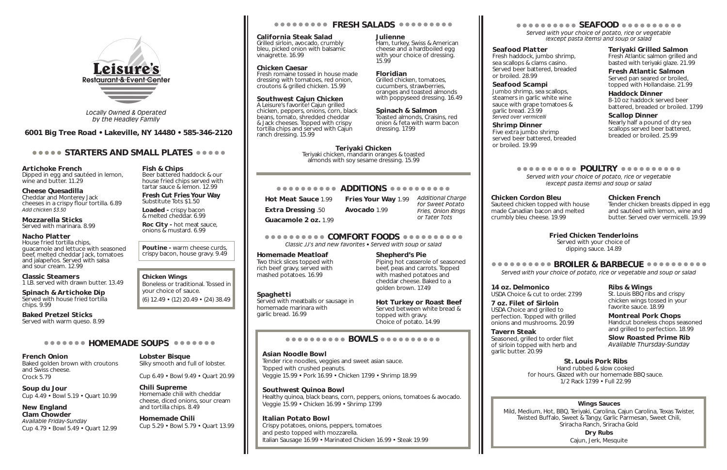Dipped in egg and sautéed in lemon, wine and butter. 11.29

Artichoke French

#### Cheese Quesadilla

Cheddar and Monterey Jack cheeses in a crispy flour tortilla. 6.89 *Add chicken \$3.50*

Mozzarella Sticks Served with marinara. 8.99

#### Nacho Platter

House fried tortilla chips, guacamole and lettuce with seasoned beef, melted cheddar Jack, tomatoes and jalapeños. Served with salsa and sour cream. 12.99

Loaded - crispy bacon & melted cheddar. 6.99

Roc City - hot meat sauce, onions & mustard. 6.99

#### Classic Steamers

#### Poutine - warm cheese curds, crispy bacon, house gravy. 9.49

1 LB. served with drawn butter. 13.49

Spinach & Artichoke Dip Served with house fried tortilla chips. 9.99

Baked Pretzel Sticks Served with warm queso. 8.99

#### **ORDODOO HOMEMADE SOUPS ORDODOO**

# Fish & Chips

Beer battered haddock & our house fried chips served with tartar sauce & lemon. 12.99

Fresh Cut Fries Your Way Substitute Tots \$1.50

# Chicken Wings

Boneless or traditional. Tossed in your choice of sauce. (6) 12.49 • (12) 20.49 • (24) 38.49

#### French Onion

Baked golden brown with croutons and Swiss cheese. Crock 5.79

Soup du Jour Cup 4.49 • Bowl 5.19 • Quart 10.99 Hot Meat Sauce 1.99 Fries Your Way 1.99 Extra Dressing .50 Avocado 1.99 Guacamole 2 oz. 1.99

New England Clam Chowder *Available Friday-Sunday* Cup 4.79 • Bowl 5.49 • Quart 12.99 Lobster Bisque

Silky smooth and full of lobster.

Cup 6.49 • Bowl 9.49 • Quart 20.99

Chili Supreme

Homemade chili with cheddar cheese, diced onions, sour cream

and tortilla chips. 8.49 Homemade Chili

Cup 5.29 • Bowl 5.79 • Quart 13.99

# **ODDOOOOOO FRESH SALADS ODDOOOOOO**

#### California Steak Salad Grilled sirloin, avocado, crumbly

bleu, picked onion with balsamic vinaigrette. 16.99

### Chicken Caesar

Fresh romaine tossed in house made dressing with tomatoes, red onion, croutons & grilled chicken. 15.99

#### Southwest Cajun Chicken

A Leisure's favorite! Cajun grilled chicken, peppers, onions, corn, black beans, tomato, shredded cheddar & Jack cheeses. Topped with crispy tortilla chips and served with Cajun ranch dressing. 15.99

Julienne

Ham, turkey, Swiss & American cheese and a hardboiled egg with your choice of dressing.

15.99

#### Floridian

Grilled chicken, tomatoes, cucumbers, strawberries, oranges and toasted almonds with poppyseed dressing. 16.49

#### Spinach & Salmon

Toasted almonds, Craisins, red onion & feta with warm bacon dressing. 17.99

COMFORT FOODS *Classic JJ's and new favorites • Served with soup or salad*

#### Homemade Meatloaf

Two thick slices topped with rich beef gravy, served with mashed potatoes. 16.99

#### **Spaghetti**

Served with meatballs or sausage in homemade marinara with garlic bread. 16.99

Shepherd's Pie

Piping hot casserole of seasoned beef, peas and carrots. Topped with mashed potatoes and cheddar cheese. Baked to a

golden brown. 17.49

Hot Turkey or Roast Beef Served between white bread &

topped with gravy. Choice of potato. 14.99

### BOWLS

#### Asian Noodle Bowl

Tender rice noodles, veggies and sweet asian sauce. Topped with crushed peanuts. Veggie 15.99 • Pork 16.99 • Chicken 17.99 • Shrimp 18.99

#### Southwest Quinoa Bowl

Healthy quinoa, black beans, corn, peppers, onions, tomatoes & avocado. Veggie 15.99 • Chicken 16.99 • Shrimp 17.99

#### Italian Potato Bowl

Crispy potatoes, onions, peppers, tomatoes and pesto topped with mozzarella. Italian Sausage 16.99 • Marinated Chicken 16.99 • Steak 19.99

# BROILER & BARBECUE

*Served with your choice of potato, rice or vegetable and soup or salad*

### Ribs & Wings

St. Louis BBQ ribs and crispy chicken wings tossed in your favorite sauce. 18.99

# Montreal Pork Chops

Handcut boneless chops seasoned and grilled to perfection. 18.99

Slow Roasted Prime Rib *Available Thursday-Sunday*

*Additional Charge* 

*for Sweet Potato Fries, Onion Rings or Tater Tots*

*Served with your choice of potato, rice or vegetable (except pasta items) and soup or salad*

Seafood Platter Fresh haddock, jumbo shrimp, sea scallops & clams casino. Served beer battered, breaded or broiled. 28.99

### Seafood Scampi

Jumbo shrimp, sea scallops, steamers in garlic white wine sauce with grape tomatoes & garlic bread. 23.99 *Served over vermicelli*

# Shrimp Dinner

Five extra jumbo shrimp served beer battered, breaded or broiled. 19.99

## Teriyaki Grilled Salmon

Fresh Atlantic salmon grilled and basted with teriyaki glaze. 21.99

# Fresh Atlantic Salmon

Served pan seared or broiled, topped with Hollandaise. 21.99

#### Haddock Dinner

8-10 oz haddock served beer battered, breaded or broiled. 17.99

#### Scallop Dinner Nearly half a pound of dry sea scallops served beer battered, breaded or broiled. 25.99

# **OCOCOCOCO POULTRY OCOCOCOCOCO**

Chicken Cordon Bleu

Sauteed chicken topped with house made Canadian bacon and melted

crumbly bleu cheese. 19.99

#### Chicken French

Tender chicken breasts dipped in egg and sautéed with lemon, wine and butter. Served over vermicelli. 19.99

*Served with your choice of potato, rice or vegetable (except pasta items) and soup or salad*



*Locally Owned & Operated by the Headley Family*

#### 6001 Big Tree Road • Lakeville, NY 14480 • 585-346-2120

### **STARTERS AND SMALL PLATES SESSION**

### Wings Sauces

Mild, Medium, Hot, BBQ, Teriyaki, Carolina, Cajun Carolina, Texas Twister, Twisted Buffalo, Sweet & Tangy, Garlic Parmesan, Sweet Chili, Sriracha Ranch, Sriracha Gold

# ooooooooo SEAFOOD @@@@@@@@@@

Dry Rubs Cajun, Jerk, Mesquite

14 oz. Delmonico USDA Choice & cut to order. 27.99

7 oz. Filet of Sirloin USDA Choice and grilled to perfection. Topped with grilled onions and mushrooms. 20.99

Tavern Steak Seasoned, grilled to order filet of sirloin topped with herb and garlic butter. 20.99

### St. Louis Pork Ribs

Hand rubbed & slow cooked for hours. Glazed with our homemade BBQ sauce. 1/2 Rack 17.99 • Full 22.99

# Fried Chicken Tenderloins

Served with your choice of dipping sauce. 14.89

Teriyaki Chicken Teriyaki chicken, mandarin oranges & toasted

#### **ADDITIONS ADDITIONS**

almonds with soy sesame dressing. 15.99